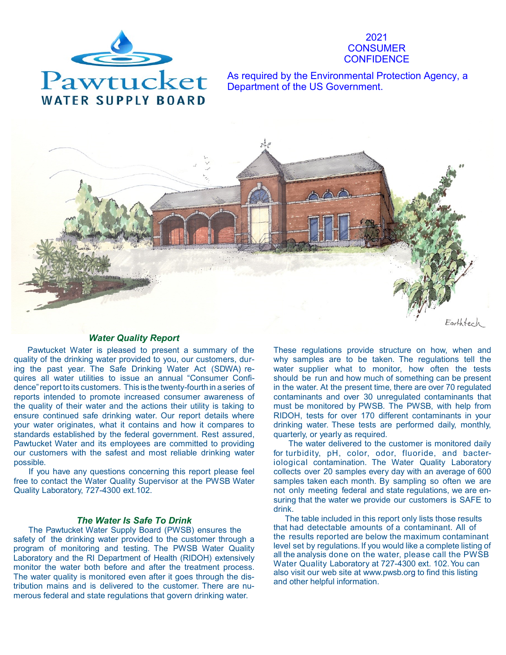

2021 **CONSUMER CONFIDENCE** 

As required by the Environmental Protection Agency, a Department of the US Government.



# *Water Quality Report*

 Pawtucket Water is pleased to present a summary of the quality of the drinking water provided to you, our customers, during the past year. The Safe Drinking Water Act (SDWA) requires all water utilities to issue an annual "Consumer Confidence"report to its customers. This is the twenty-fourth in a series of reports intended to promote increased consumer awareness of the quality of their water and the actions their utility is taking to ensure continued safe drinking water. Our report details where your water originates, what it contains and how it compares to standards established by the federal government. Rest assured, Pawtucket Water and its employees are committed to providing our customers with the safest and most reliable drinking water possible.

If you have any questions concerning this report please feel free to contact the Water Quality Supervisor at the PWSB Water Quality Laboratory, 727-4300 ext.102.

# *The Water Is Safe To Drink*

The Pawtucket Water Supply Board (PWSB) ensures the safety of the drinking water provided to the customer through a program of monitoring and testing. The PWSB Water Quality Laboratory and the RI Department of Health (RIDOH) extensively monitor the water both before and after the treatment process. The water quality is monitored even after it goes through the distribution mains and is delivered to the customer. There are numerous federal and state regulations that govern drinking water.

These regulations provide structure on how, when and why samples are to be taken. The regulations tell the water supplier what to monitor, how often the tests should be run and how much of something can be present in the water. At the present time, there are over 70 regulated contaminants and over 30 unregulated contaminants that must be monitored by PWSB. The PWSB, with help from RIDOH, tests for over 170 different contaminants in your drinking water. These tests are performed daily, monthly, quarterly, or yearly as required.

The water delivered to the customer is monitored daily for turbidity, pH, color, odor, fluoride, and bacteriological contamination. The Water Quality Laboratory collects over 20 samples every day with an average of 600 samples taken each month. By sampling so often we are not only meeting federal and state regulations, we are ensuring that the water we provide our customers is SAFE to drink.

 The table included in this report only lists those results that had detectable amounts of a contaminant. All of the results reported are below the maximum contaminant level set by regulations. If you would like a complete listing of all the analysis done on the water, please call the PWSB Water Quality Laboratory at 727-4300 ext. 102.You can also visit our web site at [www.pwsb.org](http://www.PWSB.org/) to find this listing and other helpful information.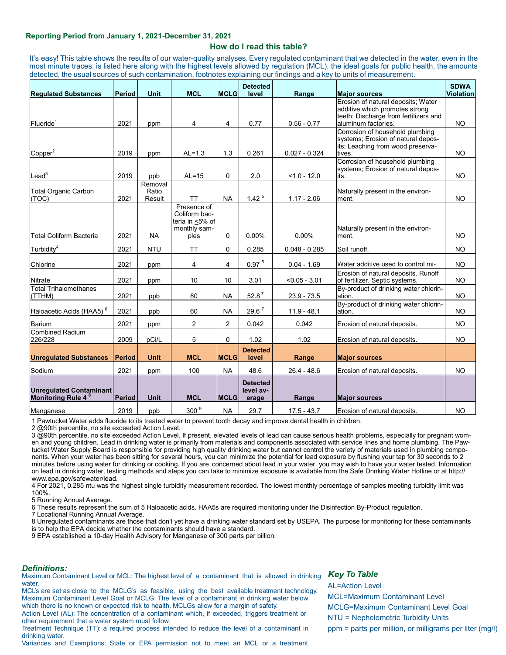#### **Reporting Period from January 1, 2021-December 31, 2021**

# **How do I read this table?**

 It's easy! This table shows the results of our water-quality analyses. Every regulated contaminant that we detected in the water, even in the most minute traces, is listed here along with the highest levels allowed by regulation (MCL), the ideal goals for public health, the amounts detected, the usual sources of such contamination, footnotes explaining our findings and a key to units of measurement.

| <b>Requlated Substances</b>                                      | <b>Period</b> | <b>Unit</b>                | <b>MCL</b>                                                              | <b>MCLG</b>    | <b>Detected</b><br>level              | Range           | <b>Major sources</b>                                                                                                                 | <b>SDWA</b><br><b>Violation</b> |
|------------------------------------------------------------------|---------------|----------------------------|-------------------------------------------------------------------------|----------------|---------------------------------------|-----------------|--------------------------------------------------------------------------------------------------------------------------------------|---------------------------------|
| Fluoride <sup>1</sup>                                            | 2021          | ppm                        | 4                                                                       | 4              | 0.77                                  | $0.56 - 0.77$   | Erosion of natural deposits: Water<br>additive which promotes strong<br>teeth; Discharge from fertilizers and<br>aluminum factories. | <b>NO</b>                       |
| Copper <sup>2</sup>                                              | 2019          | ppm                        | $AL=1.3$                                                                | 1.3            | 0.261                                 | $0.027 - 0.324$ | Corrosion of household plumbing<br>systems; Erosion of natural depos-<br>its; Leaching from wood preserva-<br>tives.                 | <b>NO</b>                       |
| $\textsf{lead}^3$                                                | 2019          | ppb                        | $AL=15$                                                                 | $\mathbf 0$    | 2.0                                   | $< 1.0 - 12.0$  | Corrosion of household plumbing<br>systems; Erosion of natural depos-<br>its.                                                        | <b>NO</b>                       |
| <b>Total Organic Carbon</b><br>(TOC)                             | 2021          | Removal<br>Ratio<br>Result | <b>TT</b>                                                               | <b>NA</b>      | 1.42 <sup>5</sup>                     | $1.17 - 2.06$   | Naturally present in the environ-<br>ment.                                                                                           | <b>NO</b>                       |
| <b>Total Coliform Bacteria</b>                                   | 2021          | <b>NA</b>                  | Presence of<br>Coliform bac-<br>teria in <5% of<br>monthly sam-<br>ples | $\mathbf 0$    | 0.00%                                 | 0.00%           | Naturally present in the environ-<br>ment.                                                                                           | <b>NO</b>                       |
| Turbidity <sup>4</sup>                                           | 2021          | <b>NTU</b>                 | <b>TT</b>                                                               | $\Omega$       | 0.285                                 | $0.048 - 0.285$ | Soil runoff.                                                                                                                         | <b>NO</b>                       |
| Chlorine                                                         | 2021          | ppm                        | 4                                                                       | 4              | 0.97 <sup>5</sup>                     | $0.04 - 1.69$   | Water additive used to control mi-                                                                                                   | <b>NO</b>                       |
| <b>Nitrate</b>                                                   | 2021          | ppm                        | 10                                                                      | 10             | 3.01                                  | $< 0.05 - 3.01$ | Erosion of natural deposits. Runoff<br>of fertilizer. Septic systems.                                                                | <b>NO</b>                       |
| <b>Total Trihalomethanes</b><br>(TTHM)                           | 2021          | ppb                        | 80                                                                      | <b>NA</b>      | $52.8^7$                              | $23.9 - 73.5$   | By-product of drinking water chlorin-<br>ation.                                                                                      | <b>NO</b>                       |
| Haloacetic Acids (HAA5) <sup>6</sup>                             | 2021          | ppb                        | 60                                                                      | <b>NA</b>      | 29.6 <sup>7</sup>                     | $11.9 - 48.1$   | By-product of drinking water chlorin-<br>ation.                                                                                      | <b>NO</b>                       |
| <b>Barium</b>                                                    | 2021          | ppm                        | $\overline{2}$                                                          | $\overline{2}$ | 0.042                                 | 0.042           | Erosion of natural deposits.                                                                                                         | <b>NO</b>                       |
| <b>Combined Radium</b><br>226/228                                | 2009          | pCi/L                      | 5                                                                       | $\mathbf 0$    | 1.02                                  | 1.02            | Erosion of natural deposits.                                                                                                         | <b>NO</b>                       |
| <b>Unregulated Substances</b>                                    | <b>Period</b> | <b>Unit</b>                | <b>MCL</b>                                                              | <b>MCLG</b>    | <b>Detected</b><br>level              | Range           | <b>Major sources</b>                                                                                                                 |                                 |
| Sodium                                                           | 2021          | ppm                        | 100                                                                     | <b>NA</b>      | 48.6                                  | $26.4 - 48.6$   | Erosion of natural deposits.                                                                                                         | <b>NO</b>                       |
| <b>Unregulated Contaminant</b><br>Monitoring Rule 4 <sup>8</sup> | <b>Period</b> | <b>Unit</b>                | <b>MCL</b>                                                              | <b>MCLG</b>    | <b>Detected</b><br>level av-<br>erage | Range           | <b>Major sources</b>                                                                                                                 |                                 |
| Manganese                                                        | 2019          | ppb                        | 300 <sup>9</sup>                                                        | <b>NA</b>      | 29.7                                  | $17.5 - 43.7$   | Erosion of natural deposits.                                                                                                         | <b>NO</b>                       |

1 Pawtucket Water adds fluoride to its treated water to prevent tooth decay and improve dental health in children.

2 @90th percentile, no site exceeded Action Level.

3 @90th percentile, no site exceeded Action Level. If present, elevated levels of lead can cause serious health problems, especially for pregnant women and young children. Lead in drinking water is primarily from materials and components associated with service lines and home plumbing. The Pawtucket Water Supply Board is responsible for providing high quality drinking water but cannot control the variety of materials used in plumbing components. When your water has been sitting for several hours, you can minimize the potential for lead exposure by flushing your tap for 30 seconds to 2 minutes before using water for drinking or cooking. If you are concerned about lead in your water, you may wish to have your water tested. Information on lead in drinking water, testing methods and steps you can take to minimize exposure is available from the Safe Drinking Water Hotline or at http:// www.epa.gov/safewater/lead.

4 For 2021, 0.285 ntu was the highest single turbidity measurement recorded. The lowest monthly percentage of samples meeting turbidity limit was 100%.

5 Running Annual Average.

6 These results represent the sum of 5 Haloacetic acids. HAA5s are required monitoring under the Disinfection By-Product regulation.

7 Locational Running Annual Average.

8 Unregulated contaminants are those that don't yet have a drinking water standard set by USEPA. The purpose for monitoring for these contaminants is to help the EPA decide whether the contaminants should have a standard.

9 EPA established a 10-day Health Advisory for Manganese of 300 parts per billion.

#### *Definitions:*

Maximum Contaminant Level or MCL: The highest level of a contaminant that is allowed in drinking water.

MCL's are set as close to the MCLG's as feasible, using the best available treatment technology. Maximum Contaminant Level Goal or MCLG: The level of a contaminant in drinking water below which there is no known or expected risk to health. MCLGs allow for a margin of safety. Action Level (AL): The concentration of a contaminant which, if exceeded, triggers treatment or

other requirement that a water system must follow.

Treatment Technique (TT): a required process intended to reduce the level of a contaminant in drinking water.

Variances and Exemptions: State or EPA permission not to meet an MCL or a treatment

# **Key To Table**

AL=Action Level MCL=Maximum Contaminant Level MCLG=Maximum Contaminant Level Goal NTU = Nephelometric Turbidity Units ppm = parts per million, or milligrams per liter (mg/l)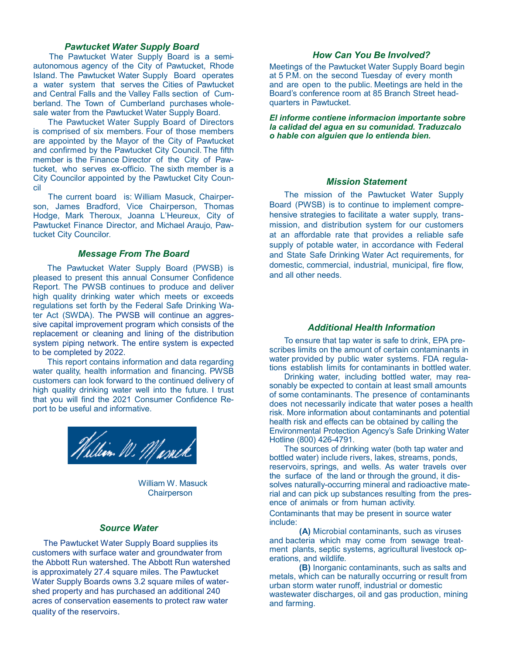# *Pawtucket Water Supply Board*

 The Pawtucket Water Supply Board is a semiautonomous agency of the City of Pawtucket, Rhode Island. The Pawtucket Water Supply Board operates a water system that serves the Cities of Pawtucket and Central Falls and the Valley Falls section of Cumberland. The Town of Cumberland purchases wholesale water from the Pawtucket Water Supply Board.

The Pawtucket Water Supply Board of Directors is comprised of six members. Four of those members are appointed by the Mayor of the City of Pawtucket and confirmed by the Pawtucket City Council. The fifth member is the Finance Director of the City of Pawtucket, who serves ex-officio. The sixth member is a City Councilor appointed by the Pawtucket City Council

The current board is: William Masuck, Chairperson, James Bradford, Vice Chairperson, Thomas Hodge, Mark Theroux, Joanna L'Heureux, City of Pawtucket Finance Director, and Michael Araujo, Pawtucket City Councilor.

### *Message From The Board*

The Pawtucket Water Supply Board (PWSB) is pleased to present this annual Consumer Confidence Report. The PWSB continues to produce and deliver high quality drinking water which meets or exceeds regulations set forth by the Federal Safe Drinking Water Act (SWDA). The PWSB will continue an aggressive capital improvement program which consists of the replacement or cleaning and lining of the distribution system piping network. The entire system is expected to be completed by 2022.

This report contains information and data regarding water quality, health information and financing. PWSB customers can look forward to the continued delivery of high quality drinking water well into the future. I trust that you will find the 2021 Consumer Confidence Report to be useful and informative.



 William W. Masuck **Chairperson** 

# *Source Water*

 The Pawtucket Water Supply Board supplies its customers with surface water and groundwater from the Abbott Run watershed. The Abbott Run watershed is approximately 27.4 square miles. The Pawtucket Water Supply Boards owns 3.2 square miles of watershed property and has purchased an additional 240 acres of conservation easements to protect raw water quality of the reservoirs.

# *How Can You Be Involved?*

Meetings of the Pawtucket Water Supply Board begin at 5 P.M. on the second Tuesday of every month and are open to the public. Meetings are held in the Board's conference room at 85 Branch Street headquarters in Pawtucket.

*El informe contiene informacion importante sobre la calidad del agua en su comunidad. Traduzcalo o hable con alguien que lo entienda bien.*

# *Mission Statement*

The mission of the Pawtucket Water Supply Board (PWSB) is to continue to implement comprehensive strategies to facilitate a water supply, transmission, and distribution system for our customers at an affordable rate that provides a reliable safe supply of potable water, in accordance with Federal and State Safe Drinking Water Act requirements, for domestic, commercial, industrial, municipal, fire flow, and all other needs.

# *Additional Health Information*

To ensure that tap water is safe to drink, EPA prescribes limits on the amount of certain contaminants in water provided by public water systems. FDA regulations establish limits for contaminants in bottled water.

Drinking water, including bottled water, may reasonably be expected to contain at least small amounts of some contaminants. The presence of contaminants does not necessarily indicate that water poses a health risk. More information about contaminants and potential health risk and effects can be obtained by calling the Environmental Protection Agency's Safe Drinking Water Hotline (800) 426-4791.

The sources of drinking water (both tap water and bottled water) include rivers, lakes, streams, ponds, reservoirs, springs, and wells. As water travels over the surface of the land or through the ground, it dissolves naturally-occurring mineral and radioactive material and can pick up substances resulting from the presence of animals or from human activity.

Contaminants that may be present in source water include:

**(A)** Microbial contaminants, such as viruses and bacteria which may come from sewage treatment plants, septic systems, agricultural livestock operations, and wildlife.

**(B)** Inorganic contaminants, such as salts and metals, which can be naturally occurring or result from urban storm water runoff, industrial or domestic wastewater discharges, oil and gas production, mining and farming.